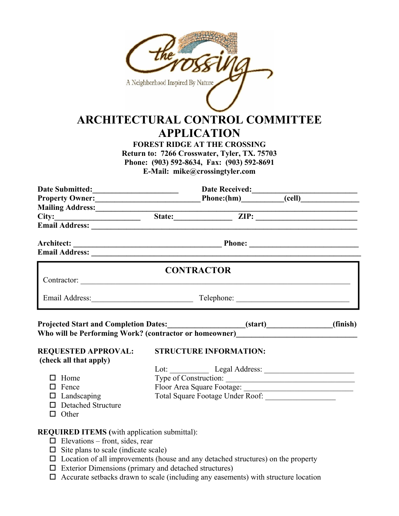|                                                                                                                                                                                                                               | A Neighborhood Inspired By Nature<br><b>ARCHITECTURAL CONTROL COMMITTEE</b><br><b>APPLICATION</b><br><b>FOREST RIDGE AT THE CROSSING</b><br>Return to: 7266 Crosswater, Tyler, TX. 75703<br>Phone: (903) 592-8634, Fax: (903) 592-8691<br>E-Mail: mike@crossingtyler.com |          |
|-------------------------------------------------------------------------------------------------------------------------------------------------------------------------------------------------------------------------------|--------------------------------------------------------------------------------------------------------------------------------------------------------------------------------------------------------------------------------------------------------------------------|----------|
|                                                                                                                                                                                                                               |                                                                                                                                                                                                                                                                          |          |
|                                                                                                                                                                                                                               | Date Submitted: Date Received: Date Received: Community Owner: Date Received: Community Owner:                                                                                                                                                                           |          |
| Mailing Address:________________                                                                                                                                                                                              |                                                                                                                                                                                                                                                                          |          |
|                                                                                                                                                                                                                               |                                                                                                                                                                                                                                                                          |          |
| Email Address: National Address: National Address: National Address: National Address: National Address: National Address: National Address: National Address: National Address: National Address: National Address: National |                                                                                                                                                                                                                                                                          |          |
|                                                                                                                                                                                                                               |                                                                                                                                                                                                                                                                          |          |
|                                                                                                                                                                                                                               | <b>CONTRACTOR</b>                                                                                                                                                                                                                                                        |          |
|                                                                                                                                                                                                                               | Email Address: Telephone: Telephone: Telephone: 2008. Telephone: 2008. Telephone: 2008. Telephone: 2008. Telephone: 2008. Telephone: 2008. Telephone: 2008. Telephone: 2008. Telephone: 2008. Telephone: 2008. Telephone: 2008                                           |          |
|                                                                                                                                                                                                                               | Projected Start and Completion Dates:_______________________(start)_____________<br>Who will be Performing Work? (contractor or homeowner)__________________________                                                                                                     | (finish) |
| <b>REQUESTED APPROVAL:</b><br>(check all that apply)                                                                                                                                                                          | <b>STRUCTURE INFORMATION:</b>                                                                                                                                                                                                                                            |          |
|                                                                                                                                                                                                                               | Lot: Legal Address: Legal Address:                                                                                                                                                                                                                                       |          |
| $\Box$ Home                                                                                                                                                                                                                   | Type of Construction:                                                                                                                                                                                                                                                    |          |
| $\Box$ Fence                                                                                                                                                                                                                  | Floor Area Square Footage:                                                                                                                                                                                                                                               |          |
| $\Box$ Landscaping                                                                                                                                                                                                            |                                                                                                                                                                                                                                                                          |          |
| □ Detached Structure                                                                                                                                                                                                          |                                                                                                                                                                                                                                                                          |          |
| $\Box$ Other                                                                                                                                                                                                                  |                                                                                                                                                                                                                                                                          |          |
| <b>REQUIRED ITEMS</b> (with application submittal):                                                                                                                                                                           |                                                                                                                                                                                                                                                                          |          |
| $\Box$ Elevations – front, sides, rear                                                                                                                                                                                        |                                                                                                                                                                                                                                                                          |          |

- $\square$  Site plans to scale (indicate scale)
- $\Box$  Location of all improvements (house and any detached structures) on the property
- $\Box$  Exterior Dimensions (primary and detached structures)
- $\Box$  Accurate setbacks drawn to scale (including any easements) with structure location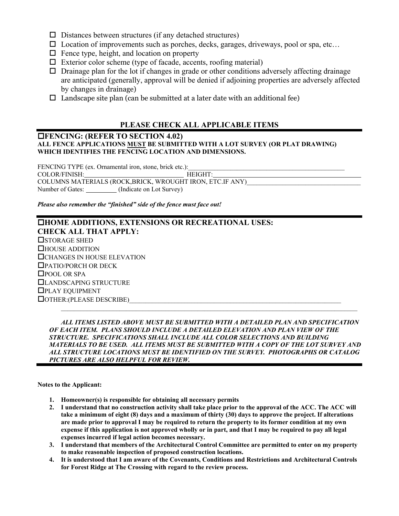- $\square$  Distances between structures (if any detached structures)
- $\square$  Location of improvements such as porches, decks, garages, driveways, pool or spa, etc...
- $\Box$  Fence type, height, and location on property
- $\Box$  Exterior color scheme (type of facade, accents, roofing material)
- $\Box$  Drainage plan for the lot if changes in grade or other conditions adversely affecting drainage are anticipated (generally, approval will be denied if adjoining properties are adversely affected by changes in drainage)
- $\Box$  Landscape site plan (can be submitted at a later date with an additional fee)

# **PLEASE CHECK ALL APPLICABLE ITEMS**

#### **FENCING: (REFER TO SECTION 4.02) ALL FENCE APPLICATIONS MUST BE SUBMITTED WITH A LOT SURVEY (OR PLAT DRAWING) WHICH IDENTIFIES THE FENCING LOCATION AND DIMENSIONS.**

FENCING TYPE (ex. Ornamental iron, stone, brick etc.): COLOR/FINISH: HEIGHT: COLUMNS MATERIALS (ROCK,BRICK, WROUGHT IRON, ETC.IF ANY) Number of Gates: \_\_\_\_\_\_\_\_\_ (Indicate on Lot Survey)

*Please also remember the "finished" side of the fence must face out!* 

# **HOME ADDITIONS, EXTENSIONS OR RECREATIONAL USES: CHECK ALL THAT APPLY: OSTORAGE SHED** HOUSE ADDITION **CHANGES IN HOUSE ELEVATION** PATIO/PORCH OR DECK □POOL OR SPA LANDSCAPING STRUCTURE PLAY EQUIPMENT  $\Box$  OTHER: (PLEASE DESCRIBE)

 *ALL ITEMS LISTED ABOVE MUST BE SUBMITTED WITH A DETAILED PLAN AND SPECIFICATION OF EACH ITEM. PLANS SHOULD INCLUDE A DETAILED ELEVATION AND PLAN VIEW OF THE STRUCTURE. SPECIFICATIONS SHALL INCLUDE ALL COLOR SELECTIONS AND BUILDING MATERIALS TO BE USED. ALL ITEMS MUST BE SUBMITTED WITH A COPY OF THE LOT SURVEY AND ALL STRUCTURE LOCATIONS MUST BE IDENTIFIED ON THE SURVEY. PHOTOGRAPHS OR CATALOG PICTURES ARE ALSO HELPFUL FOR REVIEW.* 

**Notes to the Applicant:** 

- **1. Homeowner(s) is responsible for obtaining all necessary permits**
- **2. I understand that no construction activity shall take place prior to the approval of the ACC. The ACC will take a minimum of eight (8) days and a maximum of thirty (30) days to approve the project. If alterations are made prior to approval I may be required to return the property to its former condition at my own expense if this application is not approved wholly or in part, and that I may be required to pay all legal expenses incurred if legal action becomes necessary.**
- **3. I understand that members of the Architectural Control Committee are permitted to enter on my property to make reasonable inspection of proposed construction locations.**
- **4. It is understood that I am aware of the Covenants, Conditions and Restrictions and Architectural Controls for Forest Ridge at The Crossing with regard to the review process.**